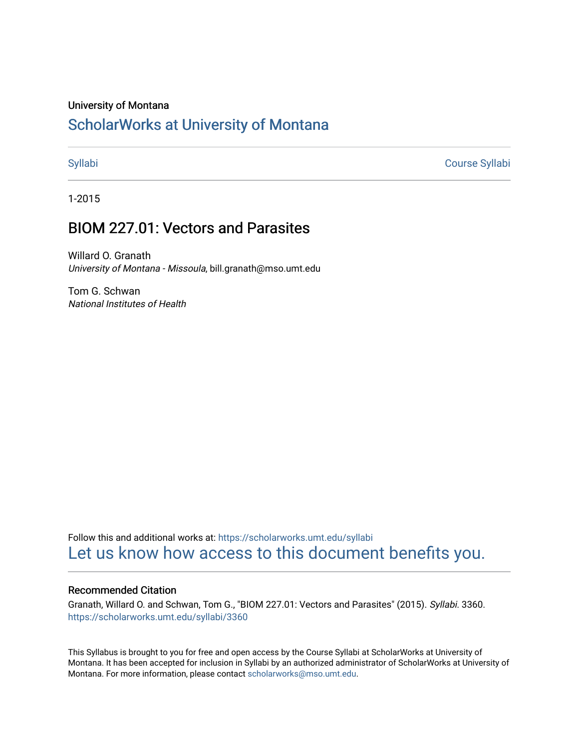### University of Montana

# [ScholarWorks at University of Montana](https://scholarworks.umt.edu/)

[Syllabi](https://scholarworks.umt.edu/syllabi) [Course Syllabi](https://scholarworks.umt.edu/course_syllabi) 

1-2015

# BIOM 227.01: Vectors and Parasites

Willard O. Granath University of Montana - Missoula, bill.granath@mso.umt.edu

Tom G. Schwan National Institutes of Health

Follow this and additional works at: [https://scholarworks.umt.edu/syllabi](https://scholarworks.umt.edu/syllabi?utm_source=scholarworks.umt.edu%2Fsyllabi%2F3360&utm_medium=PDF&utm_campaign=PDFCoverPages)  [Let us know how access to this document benefits you.](https://goo.gl/forms/s2rGfXOLzz71qgsB2) 

### Recommended Citation

Granath, Willard O. and Schwan, Tom G., "BIOM 227.01: Vectors and Parasites" (2015). Syllabi. 3360. [https://scholarworks.umt.edu/syllabi/3360](https://scholarworks.umt.edu/syllabi/3360?utm_source=scholarworks.umt.edu%2Fsyllabi%2F3360&utm_medium=PDF&utm_campaign=PDFCoverPages)

This Syllabus is brought to you for free and open access by the Course Syllabi at ScholarWorks at University of Montana. It has been accepted for inclusion in Syllabi by an authorized administrator of ScholarWorks at University of Montana. For more information, please contact [scholarworks@mso.umt.edu.](mailto:scholarworks@mso.umt.edu)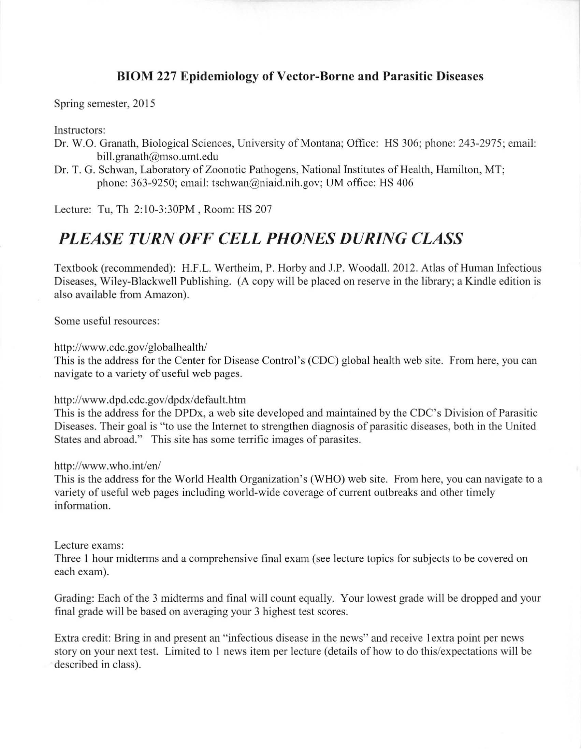# **BrOM 227 Epidemiology of Vector-Borne and Parasitic Diseases**

Spring semester, 2015

Instructors:

- Dr. W.O. Granath, Biological Sciences, University of Montana; Office: HS 306; phone: 243-2975 ; email: bill.granath@mso.umt.edu
- Dr. T. G. Schwan, Laboratory of Zoonotic Pathogens, National Institutes of Health, Hamilton, MT; phone: 363-9250; email: tschwan@niaid.nih.gov; UM office: HS 406

Lecture: Tu, Th 2: 10-3:30PM , Room: HS 207

# *PLEASE TURN OFF CELL PHONES DURING CLASS*

Textbook (recommended): H.F.L. Wertheim, P. Horby and J.P. Woodall. 2012. Atlas of Human Infectious Diseases, Wiley-Blackwell Publishing. (A copy will be placed on reserve in the library; a Kindle edition is also available from Amazon).

Some useful resources:

http://www.cdc.gov/globalhealth/

This is the address for the Center for Disease Control's (CDC) global health web site. from here, you can navigate to a variety of useful web pages.

### http://www.dpd.cdc.gov/dpdx/default.htm

This is the address for the DPDx, a web site developed and maintained by the CDC's Division of Parasitic Diseases. Their goal is "to use the Internet to strengthen diagnosis of parasitic diseases, both in the United States and abroad." This site has some terrific images of parasites.

http://www.who.int/en/

This is the address for the World Health Organization 's (WHO) web site. From here, you can navigate to a variety of useful web pages including world-wide coverage of current outbreaks and other timely information.

Lecture exams:

Three I hour midterms and a comprehensive final exam (see lecture topics for subjects to be covered on each exam).

Grading: Each of the 3 midterms and final will count equally. Your lowest grade will be dropped and your final grade will be based on averaging your 3 highest test scores.

Extra credit: Bring in and present an "infectious disease in the news" and receive I extra point per news story on your next test. Limited to 1 news item per lecture (details of how to do this/expectations will be described in class).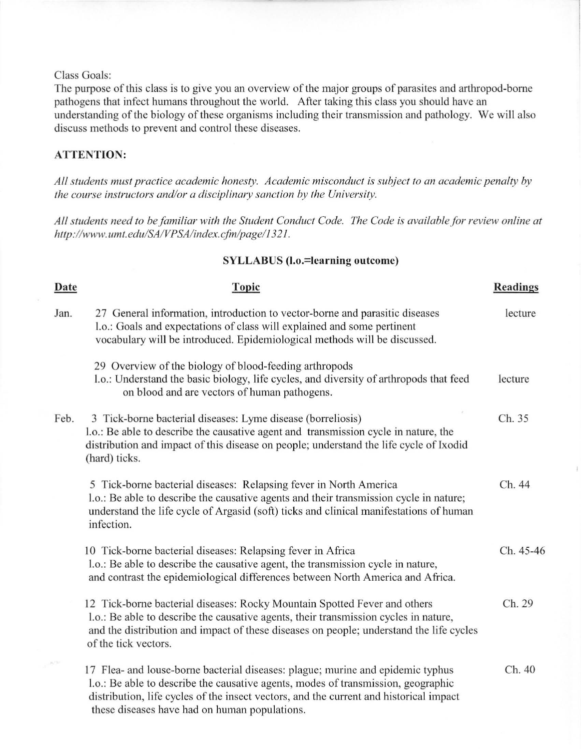### Class Goals:

The purpose of this class is to give you an overview of the major groups of parasites and arthropod-borne pathogens that infect humans throughout the world. After taking this class you should have an understanding of the biology of these organisms including their transmission and pathology. We will also discuss methods to prevent and control these diseases.

## **ATTENTION:**

*All students must practice academic honesty. Academic misconduct is subject to an academic penalty by the course instructors and/or a disciplinary sanction by the University.* 

All students need to be familiar with the Student Conduct Code. The Code is available for review online at *hllp://www.umt.edu/SAIVPSA/index.cjin/page/ 1321 .* 

### **SYLLABUS (l.o.=learning outcome)**

| Date | <b>Topic</b>                                                                                                                                                                                                                                                                                                    | <b>Readings</b> |
|------|-----------------------------------------------------------------------------------------------------------------------------------------------------------------------------------------------------------------------------------------------------------------------------------------------------------------|-----------------|
| Jan. | 27 General information, introduction to vector-borne and parasitic diseases<br>l.o.: Goals and expectations of class will explained and some pertinent<br>vocabulary will be introduced. Epidemiological methods will be discussed.                                                                             | lecture         |
|      | 29 Overview of the biology of blood-feeding arthropods<br>1.o.: Understand the basic biology, life cycles, and diversity of arthropods that feed<br>on blood and are vectors of human pathogens.                                                                                                                | lecture         |
| Feb. | 3 Tick-borne bacterial diseases: Lyme disease (borreliosis)<br>1.0.: Be able to describe the causative agent and transmission cycle in nature, the<br>distribution and impact of this disease on people; understand the life cycle of Ixodid<br>(hard) ticks.                                                   | Ch. 35          |
|      | 5 Tick-borne bacterial diseases: Relapsing fever in North America<br>1.0.: Be able to describe the causative agents and their transmission cycle in nature;<br>understand the life cycle of Argasid (soft) ticks and clinical manifestations of human<br>infection.                                             | Ch. 44          |
|      | 10 Tick-borne bacterial diseases: Relapsing fever in Africa<br>l.o.: Be able to describe the causative agent, the transmission cycle in nature,<br>and contrast the epidemiological differences between North America and Africa.                                                                               | Ch. 45-46       |
|      | 12 Tick-borne bacterial diseases: Rocky Mountain Spotted Fever and others<br>l.o.: Be able to describe the causative agents, their transmission cycles in nature,<br>and the distribution and impact of these diseases on people; understand the life cycles<br>of the tick vectors.                            | Ch. 29          |
|      | 17 Flea- and louse-borne bacterial diseases: plague; murine and epidemic typhus<br>1.0.: Be able to describe the causative agents, modes of transmission, geographic<br>distribution, life cycles of the insect vectors, and the current and historical impact<br>these diseases have had on human populations. | Ch. 40          |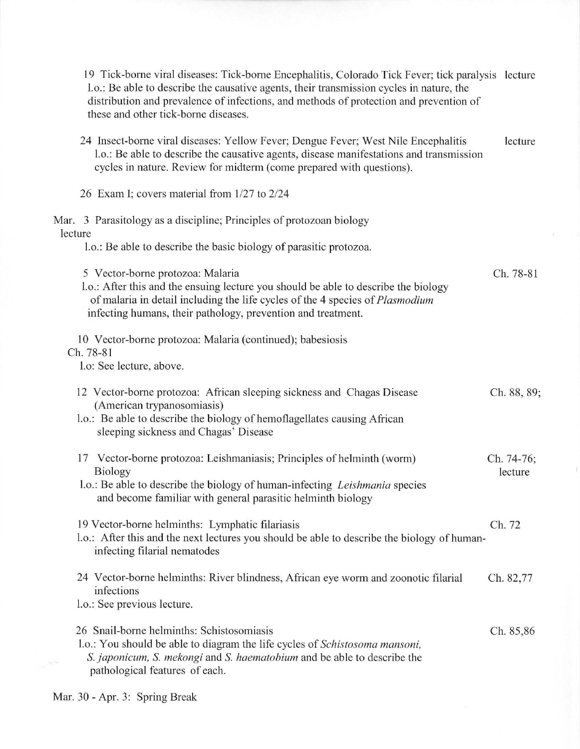| 19 Tick-borne viral diseases: Tick-borne Encephalitis, Colorado Tick Fever; tick paralysis lecture<br>1.0.: Be able to describe the causative agents, their transmission cycles in nature, the<br>distribution and prevalence of infections, and methods of protection and prevention of<br>these and other tick-borne diseases. |                       |
|----------------------------------------------------------------------------------------------------------------------------------------------------------------------------------------------------------------------------------------------------------------------------------------------------------------------------------|-----------------------|
| 24 Insect-borne viral diseases: Yellow Fever; Dengue Fever; West Nile Encephalitis<br>1.o.: Be able to describe the causative agents, disease manifestations and transmission<br>cycles in nature. Review for midterm (come prepared with questions).                                                                            | lecture               |
| 26 Exam I; covers material from 1/27 to 2/24                                                                                                                                                                                                                                                                                     |                       |
| Mar. 3 Parasitology as a discipline; Principles of protozoan biology<br>lecture<br>l.o.: Be able to describe the basic biology of parasitic protozoa.                                                                                                                                                                            |                       |
| 5 Vector-borne protozoa: Malaria<br>1.0.: After this and the ensuing lecture you should be able to describe the biology<br>of malaria in detail including the life cycles of the 4 species of <i>Plasmodium</i><br>infecting humans, their pathology, prevention and treatment.                                                  | Ch. 78-81             |
| 10 Vector-borne protozoa: Malaria (continued); babesiosis<br>Ch. 78-81<br>l.o: See lecture, above.                                                                                                                                                                                                                               |                       |
| 12 Vector-borne protozoa: African sleeping sickness and Chagas Disease<br>(American trypanosomiasis)<br>l.o.: Be able to describe the biology of hemoflagellates causing African<br>sleeping sickness and Chagas' Disease                                                                                                        | Ch. 88, 89;           |
| Vector-borne protozoa: Leishmaniasis; Principles of helminth (worm)<br>17<br><b>Biology</b><br>l.o.: Be able to describe the biology of human-infecting Leishmania species<br>and become familiar with general parasitic helminth biology                                                                                        | Ch. 74-76;<br>lecture |
| 19 Vector-borne helminths: Lymphatic filariasis<br>1.0.: After this and the next lectures you should be able to describe the biology of human-<br>infecting filarial nematodes                                                                                                                                                   | Ch. 72                |
| 24 Vector-borne helminths: River blindness, African eye worm and zoonotic filarial<br>infections<br>l.o.: See previous lecture.                                                                                                                                                                                                  | Ch. 82,77             |
| 26 Snail-borne helminths: Schistosomiasis<br>1.0.: You should be able to diagram the life cycles of Schistosoma mansoni,<br>S. japonicum, S. mekongi and S. haematobium and be able to describe the<br>pathological features of each.                                                                                            | Ch. 85,86             |

ú.

 $\ddot{ }$